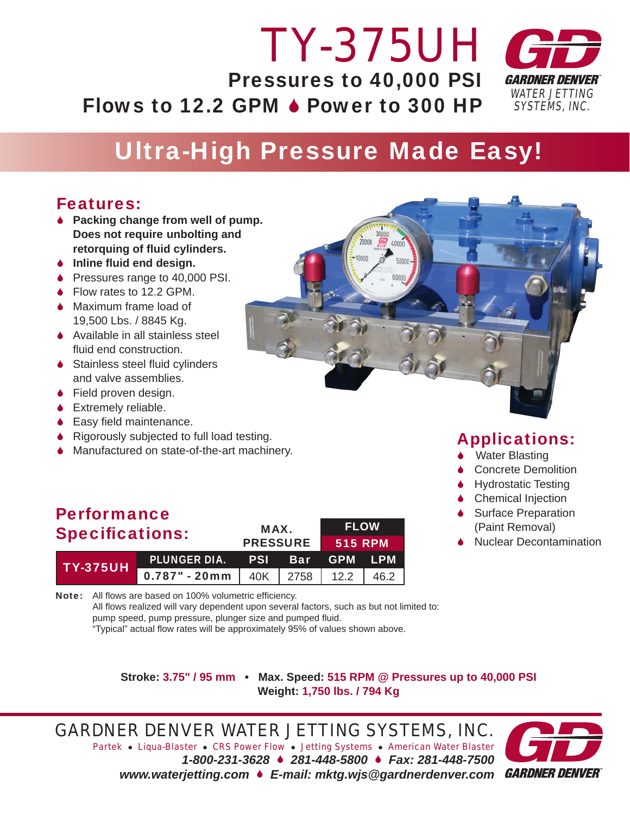### *WATER JETTING SYSTEMS, INC. TY-375UH* Pressures to 40,000 PSI Flows to 12.2 GPM  $\triangle$  Power to 300 HP

## Ultra-High Pressure Made Easy!

### Features:

- 6 **Packing change from well of pump. Does not require unbolting and**  *retorquing of fluid cylinders.*
- **↓** Inline fluid end design.
- ◆ Pressures range to 40,000 PSI.
- ◆ Flow rates to 12.2 GPM.
- ◆ Maximum frame load of 19,500 Lbs. / 8845 Kg.
- **↓** Available in all stainless steel fluid end construction.
- $\bullet$  Stainless steel fluid cylinders and valve assemblies.
- ◆ Field proven design.
- 6 Extremely reliable.
- $\bullet$  Easy field maintenance.
- ♦ Rigorously subjected to full load testing.
- 6 Manufactured on state-of-the-art machinery.

Note: All flows are based on 100% volumetric efficiency.

### Performance Specifications: MAX.

| $SP$ $SQ$       |                                                | <b>PRESSURE 515 RPM</b> |  |  |  |
|-----------------|------------------------------------------------|-------------------------|--|--|--|
| <b>TY-375UH</b> | PLUNGER DIA. PSI Bar GPM LPM                   |                         |  |  |  |
|                 | $\overline{0.787}$ " - 20mm 40K 2758 12.2 46.2 |                         |  |  |  |

pump speed, pump pressure, plunger size and pumped fluid.

Applications: ◆ Water Blasting

- **6** Concrete Demolition
- **Hydrostatic Testing**
- **↓** Chemical Injection
- **↓** Surface Preparation (Paint Removal)
- **Nuclear Decontamination**

**Stroke: 3.75" / 95 mm • Max. Speed: 515 RPM @ Pressures up to 40,000 PSI Weight: 1,750 lbs. / 794 Kg**

FLOW

*GARDNER DENVER WATER JETTING SYSTEMS, INC. Partek* z *Liqua-Blaster* z *CRS Power Flow* z *Jetting Systems* z *American Water Blaster 1-800-231-3628* 6 *281-448-5800* 6 *Fax: 281-448-7500 www.waterjetting.com* 6 *E-mail: mktg.wjs@gardnerdenver.com*

All flows realized will vary dependent upon several factors, such as but not limited to:

"Typical" actual flow rates will be approximately 95% of values shown above.